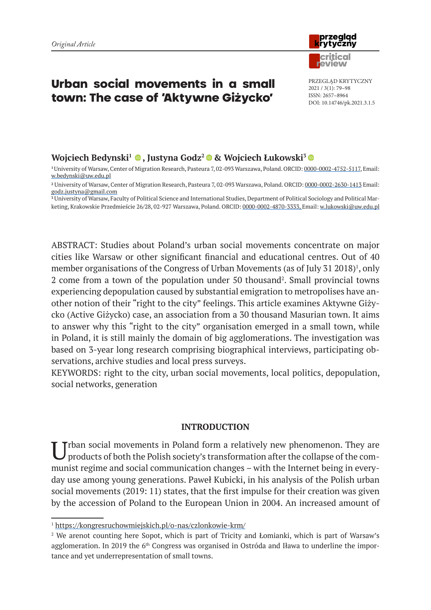# Urban social movements in a small town: The case of 'Aktywne Giżycko'

## **Wojciech Bedynski<sup>1</sup> •, Justyna Godz<sup>2</sup> • & Wojciech Łukowski<sup>3</sup> •**

**<sup>1</sup>**University of Warsaw, Center of Migration Research, Pasteura 7, 02-093 Warszawa, Poland. ORCID: 0000-0002-4752-5117, Email: w.bedynski@uw.edu.pl

**<sup>3</sup>** University of Warsaw, Faculty of Political Science and International Studies, Department of Political Sociology and Political Marketing, Krakowskie Przedmieście 26/28, 02-927 Warszawa, Poland. ORCID: 0000-0002-4870-3333, Email: w.lukowski@uw.edu.pl

ABSTRACT: Studies about Poland's urban social movements concentrate on major cities like Warsaw or other significant financial and educational centres. Out of 40 member organisations of the Congress of Urban Movements (as of July 31 2018)<sup>1</sup>, only 2 come from a town of the population under 50 thousand<sup>2</sup>. Small provincial towns experiencing depopulation caused by substantial emigration to metropolises have another notion of their "right to the city" feelings. This article examines Aktywne Giżycko (Active Giżycko) case, an association from a 30 thousand Masurian town. It aims to answer why this "right to the city" organisation emerged in a small town, while in Poland, it is still mainly the domain of big agglomerations. The investigation was based on 3-year long research comprising biographical interviews, participating observations, archive studies and local press surveys.

KEYWORDS: right to the city, urban social movements, local politics, depopulation, social networks, generation

## **INTRODUCTION**

Trban social movements in Poland form a relatively new phenomenon. They are products of both the Polish society's transformation after the collapse of the communist regime and social communication changes – with the Internet being in everyday use among young generations. Paweł Kubicki, in his analysis of the Polish urban social movements (2019: 11) states, that the first impulse for their creation was given by the accession of Poland to the European Union in 2004. An increased amount of



PRZEGLĄD KRYTYCZNY 2021 / 3(1): 79–98 ISSN: 2657–8964 DOI: 10.14746/pk.2021.3.1.5

**<sup>2</sup>** University of Warsaw, Center of Migration Research, Pasteura 7, 02-093 Warszawa, Poland. ORCID: 0000-0002-2630-1413 Email: godz.justyna@gmail.com

<sup>1</sup> https://kongresruchowmiejskich.pl/o-nas/czlonkowie-krm/

<sup>&</sup>lt;sup>2</sup> We arenot counting here Sopot, which is part of Tricity and Łomianki, which is part of Warsaw's agglomeration. In 2019 the 6<sup>th</sup> Congress was organised in Ostróda and Iława to underline the importance and yet underrepresentation of small towns.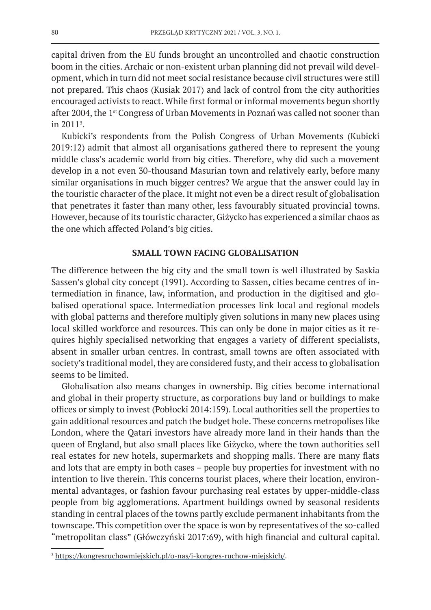capital driven from the EU funds brought an uncontrolled and chaotic construction boom in the cities. Archaic or non-existent urban planning did not prevail wild development, which in turn did not meet social resistance because civil structures were still not prepared. This chaos (Kusiak 2017) and lack of control from the city authorities encouraged activists to react. While first formal or informal movements begun shortly after 2004, the 1<sup>st</sup> Congress of Urban Movements in Poznań was called not sooner than in 20113 .

Kubicki's respondents from the Polish Congress of Urban Movements (Kubicki 2019:12) admit that almost all organisations gathered there to represent the young middle class's academic world from big cities. Therefore, why did such a movement develop in a not even 30-thousand Masurian town and relatively early, before many similar organisations in much bigger centres? We argue that the answer could lay in the touristic character of the place. It might not even be a direct result of globalisation that penetrates it faster than many other, less favourably situated provincial towns. However, because of its touristic character, Giżycko has experienced a similar chaos as the one which affected Poland's big cities.

## **SMALL TOWN FACING GLOBALISATION**

The difference between the big city and the small town is well illustrated by Saskia Sassen's global city concept (1991). According to Sassen, cities became centres of intermediation in finance, law, information, and production in the digitised and globalised operational space. Intermediation processes link local and regional models with global patterns and therefore multiply given solutions in many new places using local skilled workforce and resources. This can only be done in major cities as it requires highly specialised networking that engages a variety of different specialists, absent in smaller urban centres. In contrast, small towns are often associated with society's traditional model, they are considered fusty, and their access to globalisation seems to be limited.

Globalisation also means changes in ownership. Big cities become international and global in their property structure, as corporations buy land or buildings to make offices or simply to invest (Pobłocki 2014:159). Local authorities sell the properties to gain additional resources and patch the budget hole. These concerns metropolises like London, where the Qatari investors have already more land in their hands than the queen of England, but also small places like Giżycko, where the town authorities sell real estates for new hotels, supermarkets and shopping malls. There are many flats and lots that are empty in both cases – people buy properties for investment with no intention to live therein. This concerns tourist places, where their location, environmental advantages, or fashion favour purchasing real estates by upper-middle-class people from big agglomerations. Apartment buildings owned by seasonal residents standing in central places of the towns partly exclude permanent inhabitants from the townscape. This competition over the space is won by representatives of the so-called "metropolitan class" (Główczyński 2017:69), with high financial and cultural capital.

<sup>3</sup> https://kongresruchowmiejskich.pl/o-nas/i-kongres-ruchow-miejskich/.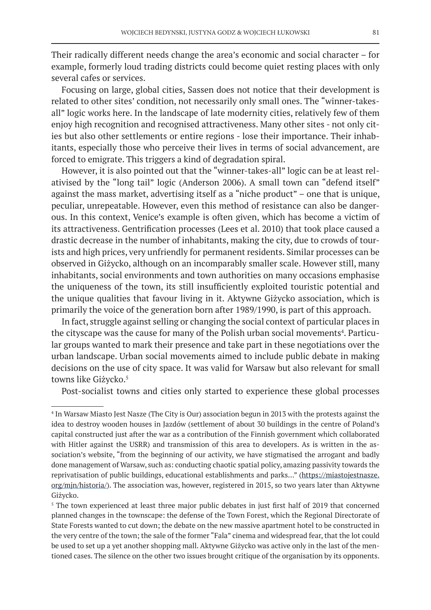Their radically different needs change the area's economic and social character – for example, formerly loud trading districts could become quiet resting places with only several cafes or services.

Focusing on large, global cities, Sassen does not notice that their development is related to other sites' condition, not necessarily only small ones. The "winner-takesall" logic works here. In the landscape of late modernity cities, relatively few of them enjoy high recognition and recognised attractiveness. Many other sites - not only cities but also other settlements or entire regions - lose their importance. Their inhabitants, especially those who perceive their lives in terms of social advancement, are forced to emigrate. This triggers a kind of degradation spiral.

However, it is also pointed out that the "winner-takes-all" logic can be at least relativised by the "long tail" logic (Anderson 2006). A small town can "defend itself" against the mass market, advertising itself as a "niche product" – one that is unique, peculiar, unrepeatable. However, even this method of resistance can also be dangerous. In this context, Venice's example is often given, which has become a victim of its attractiveness. Gentrification processes (Lees et al. 2010) that took place caused a drastic decrease in the number of inhabitants, making the city, due to crowds of tourists and high prices, very unfriendly for permanent residents. Similar processes can be observed in Giżycko, although on an incomparably smaller scale. However still, many inhabitants, social environments and town authorities on many occasions emphasise the uniqueness of the town, its still insufficiently exploited touristic potential and the unique qualities that favour living in it. Aktywne Giżycko association, which is primarily the voice of the generation born after 1989/1990, is part of this approach.

In fact, struggle against selling or changing the social context of particular places in the cityscape was the cause for many of the Polish urban social movements<sup>4</sup>. Particular groups wanted to mark their presence and take part in these negotiations over the urban landscape. Urban social movements aimed to include public debate in making decisions on the use of city space. It was valid for Warsaw but also relevant for small towns like Giżycko.<sup>5</sup>

Post-socialist towns and cities only started to experience these global processes

<sup>4</sup> In Warsaw Miasto Jest Nasze (The City is Our) association begun in 2013 with the protests against the idea to destroy wooden houses in Jazdów (settlement of about 30 buildings in the centre of Poland's capital constructed just after the war as a contribution of the Finnish government which collaborated with Hitler against the USRR) and transmission of this area to developers. As is written in the association's website, "from the beginning of our activity, we have stigmatised the arrogant and badly done management of Warsaw, such as: conducting chaotic spatial policy, amazing passivity towards the reprivatisation of public buildings, educational establishments and parks…" (https://miastojestnasze. org/mjn/historia/). The association was, however, registered in 2015, so two years later than Aktywne Giżycko.

<sup>&</sup>lt;sup>5</sup> The town experienced at least three major public debates in just first half of 2019 that concerned planned changes in the townscape: the defense of the Town Forest, which the Regional Directorate of State Forests wanted to cut down; the debate on the new massive apartment hotel to be constructed in the very centre of the town; the sale of the former "Fala" cinema and widespread fear, that the lot could be used to set up a yet another shopping mall. Aktywne Giżycko was active only in the last of the mentioned cases. The silence on the other two issues brought critique of the organisation by its opponents.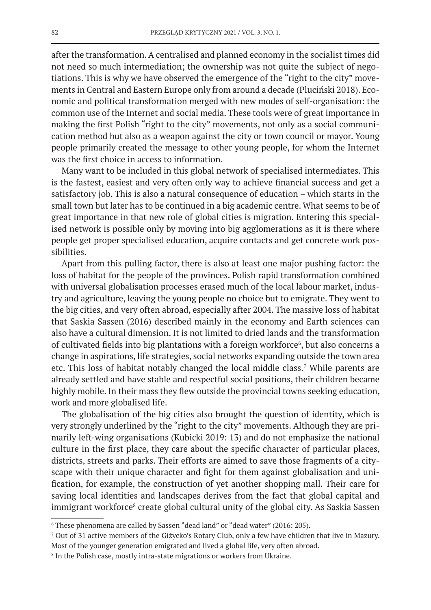after the transformation. A centralised and planned economy in the socialist times did not need so much intermediation; the ownership was not quite the subject of negotiations. This is why we have observed the emergence of the "right to the city" movements in Central and Eastern Europe only from around a decade (Pluciński 2018). Economic and political transformation merged with new modes of self-organisation: the common use of the Internet and social media. These tools were of great importance in making the first Polish "right to the city" movements, not only as a social communication method but also as a weapon against the city or town council or mayor. Young people primarily created the message to other young people, for whom the Internet was the first choice in access to information.

Many want to be included in this global network of specialised intermediates. This is the fastest, easiest and very often only way to achieve financial success and get a satisfactory job. This is also a natural consequence of education – which starts in the small town but later has to be continued in a big academic centre. What seems to be of great importance in that new role of global cities is migration. Entering this specialised network is possible only by moving into big agglomerations as it is there where people get proper specialised education, acquire contacts and get concrete work possibilities.

Apart from this pulling factor, there is also at least one major pushing factor: the loss of habitat for the people of the provinces. Polish rapid transformation combined with universal globalisation processes erased much of the local labour market, industry and agriculture, leaving the young people no choice but to emigrate. They went to the big cities, and very often abroad, especially after 2004. The massive loss of habitat that Saskia Sassen (2016) described mainly in the economy and Earth sciences can also have a cultural dimension. It is not limited to dried lands and the transformation of cultivated fields into big plantations with a foreign workforce<sup>6</sup>, but also concerns a change in aspirations, life strategies, social networks expanding outside the town area etc. This loss of habitat notably changed the local middle class.<sup>7</sup> While parents are already settled and have stable and respectful social positions, their children became highly mobile. In their mass they flew outside the provincial towns seeking education, work and more globalised life.

The globalisation of the big cities also brought the question of identity, which is very strongly underlined by the "right to the city" movements. Although they are primarily left-wing organisations (Kubicki 2019: 13) and do not emphasize the national culture in the first place, they care about the specific character of particular places, districts, streets and parks. Their efforts are aimed to save those fragments of a cityscape with their unique character and fight for them against globalisation and unification, for example, the construction of yet another shopping mall. Their care for saving local identities and landscapes derives from the fact that global capital and immigrant workforce<sup>s</sup> create global cultural unity of the global city. As Saskia Sassen

<sup>6</sup> These phenomena are called by Sassen "dead land" or "dead water" (2016: 205).

<sup>7</sup> Out of 31 active members of the Giżycko's Rotary Club, only a few have children that live in Mazury.

Most of the younger generation emigrated and lived a global life, very often abroad.

<sup>&</sup>lt;sup>8</sup> In the Polish case, mostly intra-state migrations or workers from Ukraine.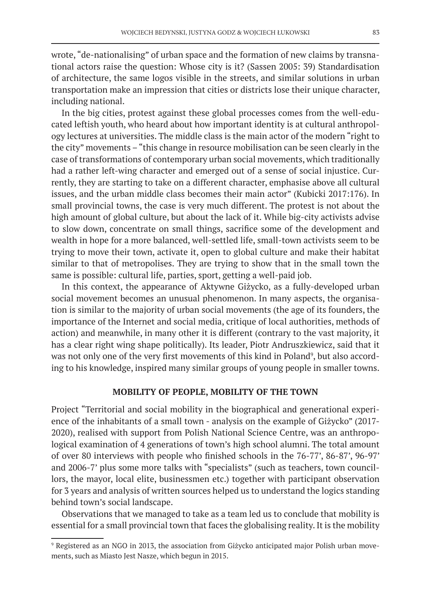wrote, "de-nationalising" of urban space and the formation of new claims by transnational actors raise the question: Whose city is it? (Sassen 2005: 39) Standardisation of architecture, the same logos visible in the streets, and similar solutions in urban transportation make an impression that cities or districts lose their unique character, including national.

In the big cities, protest against these global processes comes from the well-educated leftish youth, who heard about how important identity is at cultural anthropology lectures at universities. The middle class is the main actor of the modern "right to the city" movements – "this change in resource mobilisation can be seen clearly in the case of transformations of contemporary urban social movements, which traditionally had a rather left-wing character and emerged out of a sense of social injustice. Currently, they are starting to take on a different character, emphasise above all cultural issues, and the urban middle class becomes their main actor" (Kubicki 2017:176). In small provincial towns, the case is very much different. The protest is not about the high amount of global culture, but about the lack of it. While big-city activists advise to slow down, concentrate on small things, sacrifice some of the development and wealth in hope for a more balanced, well-settled life, small-town activists seem to be trying to move their town, activate it, open to global culture and make their habitat similar to that of metropolises. They are trying to show that in the small town the same is possible: cultural life, parties, sport, getting a well-paid job.

In this context, the appearance of Aktywne Giżycko, as a fully-developed urban social movement becomes an unusual phenomenon. In many aspects, the organisation is similar to the majority of urban social movements (the age of its founders, the importance of the Internet and social media, critique of local authorities, methods of action) and meanwhile, in many other it is different (contrary to the vast majority, it has a clear right wing shape politically). Its leader, Piotr Andruszkiewicz, said that it was not only one of the very first movements of this kind in Poland<sup>9</sup>, but also according to his knowledge, inspired many similar groups of young people in smaller towns.

#### **MOBILITY OF PEOPLE, MOBILITY OF THE TOWN**

Project "Territorial and social mobility in the biographical and generational experience of the inhabitants of a small town - analysis on the example of Giżycko" (2017- 2020), realised with support from Polish National Science Centre, was an anthropological examination of 4 generations of town's high school alumni. The total amount of over 80 interviews with people who finished schools in the 76-77', 86-87', 96-97' and 2006-7' plus some more talks with "specialists" (such as teachers, town councillors, the mayor, local elite, businessmen etc.) together with participant observation for 3 years and analysis of written sources helped us to understand the logics standing behind town's social landscape.

Observations that we managed to take as a team led us to conclude that mobility is essential for a small provincial town that faces the globalising reality. It is the mobility

<sup>9</sup> Registered as an NGO in 2013, the association from Giżycko anticipated major Polish urban movements, such as Miasto Jest Nasze, which begun in 2015.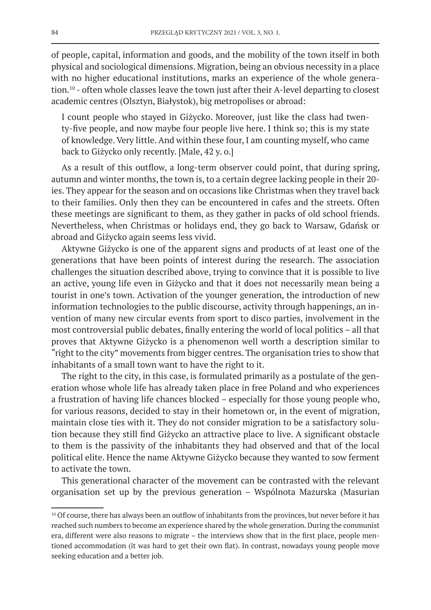of people, capital, information and goods, and the mobility of the town itself in both physical and sociological dimensions. Migration, being an obvious necessity in a place with no higher educational institutions, marks an experience of the whole generation.10 - often whole classes leave the town just after their A-level departing to closest academic centres (Olsztyn, Białystok), big metropolises or abroad:

I count people who stayed in Giżycko. Moreover, just like the class had twenty-five people, and now maybe four people live here. I think so; this is my state of knowledge. Very little. And within these four, I am counting myself, who came back to Giżycko only recently. [Male, 42 y. o.]

As a result of this outflow, a long-term observer could point, that during spring, autumn and winter months, the town is, to a certain degree lacking people in their 20 ies. They appear for the season and on occasions like Christmas when they travel back to their families. Only then they can be encountered in cafes and the streets. Often these meetings are significant to them, as they gather in packs of old school friends. Nevertheless, when Christmas or holidays end, they go back to Warsaw, Gdańsk or abroad and Giżycko again seems less vivid.

Aktywne Giżycko is one of the apparent signs and products of at least one of the generations that have been points of interest during the research. The association challenges the situation described above, trying to convince that it is possible to live an active, young life even in Giżycko and that it does not necessarily mean being a tourist in one's town. Activation of the younger generation, the introduction of new information technologies to the public discourse, activity through happenings, an invention of many new circular events from sport to disco parties, involvement in the most controversial public debates, finally entering the world of local politics – all that proves that Aktywne Giżycko is a phenomenon well worth a description similar to "right to the city" movements from bigger centres. The organisation tries to show that inhabitants of a small town want to have the right to it.

The right to the city, in this case, is formulated primarily as a postulate of the generation whose whole life has already taken place in free Poland and who experiences a frustration of having life chances blocked – especially for those young people who, for various reasons, decided to stay in their hometown or, in the event of migration, maintain close ties with it. They do not consider migration to be a satisfactory solution because they still find Giżycko an attractive place to live. A significant obstacle to them is the passivity of the inhabitants they had observed and that of the local political elite. Hence the name Aktywne Giżycko because they wanted to sow ferment to activate the town.

This generational character of the movement can be contrasted with the relevant organisation set up by the previous generation – Wspólnota Mazurska (Masurian

<sup>&</sup>lt;sup>10</sup> Of course, there has always been an outflow of inhabitants from the provinces, but never before it has reached such numbers to become an experience shared by the whole generation. During the communist era, different were also reasons to migrate – the interviews show that in the first place, people mentioned accommodation (it was hard to get their own flat). In contrast, nowadays young people move seeking education and a better job.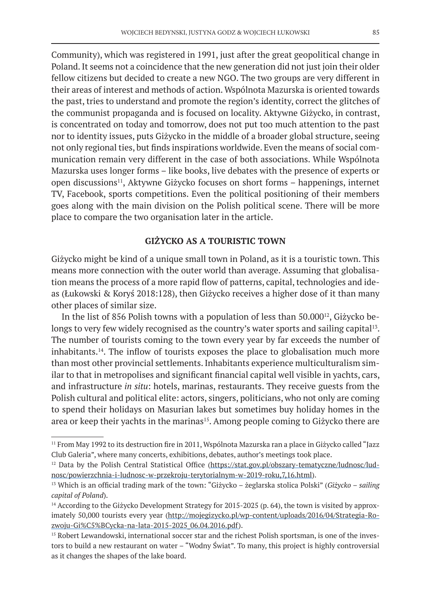Community), which was registered in 1991, just after the great geopolitical change in Poland. It seems not a coincidence that the new generation did not just join their older fellow citizens but decided to create a new NGO. The two groups are very different in their areas of interest and methods of action. Wspólnota Mazurska is oriented towards the past, tries to understand and promote the region's identity, correct the glitches of the communist propaganda and is focused on locality. Aktywne Giżycko, in contrast, is concentrated on today and tomorrow, does not put too much attention to the past nor to identity issues, puts Giżycko in the middle of a broader global structure, seeing not only regional ties, but finds inspirations worldwide. Even the means of social communication remain very different in the case of both associations. While Wspólnota Mazurska uses longer forms – like books, live debates with the presence of experts or open discussions<sup>11</sup>, Aktywne Giżycko focuses on short forms – happenings, internet TV, Facebook, sports competitions. Even the political positioning of their members goes along with the main division on the Polish political scene. There will be more place to compare the two organisation later in the article.

## **GIŻYCKO AS A TOURISTIC TOWN**

Giżycko might be kind of a unique small town in Poland, as it is a touristic town. This means more connection with the outer world than average. Assuming that globalisation means the process of a more rapid flow of patterns, capital, technologies and ideas (Łukowski & Koryś 2018:128), then Giżycko receives a higher dose of it than many other places of similar size.

In the list of 856 Polish towns with a population of less than  $50.000^{12}$ , Giżycko belongs to very few widely recognised as the country's water sports and sailing capital<sup>13</sup>. The number of tourists coming to the town every year by far exceeds the number of inhabitants.14. The inflow of tourists exposes the place to globalisation much more than most other provincial settlements. Inhabitants experience multiculturalism similar to that in metropolises and significant financial capital well visible in yachts, cars, and infrastructure *in situ*: hotels, marinas, restaurants. They receive guests from the Polish cultural and political elite: actors, singers, politicians, who not only are coming to spend their holidays on Masurian lakes but sometimes buy holiday homes in the area or keep their yachts in the marinas<sup>15</sup>. Among people coming to Giżycko there are

<sup>11</sup> From May 1992 to its destruction fire in 2011, Wspólnota Mazurska ran a place in Giżycko called "Jazz Club Galeria", where many concerts, exhibitions, debates, author's meetings took place.

<sup>&</sup>lt;sup>12</sup> Data by the Polish Central Statistical Office (https://stat.gov.pl/obszary-tematyczne/ludnosc/ludnosc/powierzchnia-i-ludnosc-w-przekroju-terytorialnym-w-2019-roku,7,16.html).

<sup>13</sup> Which is an official trading mark of the town: "Giżycko – żeglarska stolica Polski" (*Giżycko – sailing capital of Poland*).

<sup>&</sup>lt;sup>14</sup> According to the Giżycko Development Strategy for 2015-2025 (p. 64), the town is visited by approximately 50,000 tourists every year (http://mojegizycko.pl/wp-content/uploads/2016/04/Strategia-Rozwoju-Gi%C5%BCycka-na-lata-2015-2025\_06.04.2016.pdf).

<sup>&</sup>lt;sup>15</sup> Robert Lewandowski, international soccer star and the richest Polish sportsman, is one of the investors to build a new restaurant on water – "Wodny Świat". To many, this project is highly controversial as it changes the shapes of the lake board.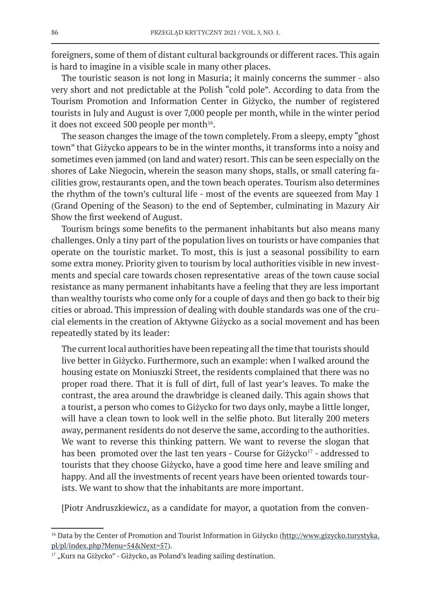foreigners, some of them of distant cultural backgrounds or different races. This again is hard to imagine in a visible scale in many other places.

The touristic season is not long in Masuria; it mainly concerns the summer - also very short and not predictable at the Polish "cold pole". According to data from the Tourism Promotion and Information Center in Giżycko, the number of registered tourists in July and August is over 7,000 people per month, while in the winter period it does not exceed 500 people per month<sup>16</sup>.

The season changes the image of the town completely. From a sleepy, empty "ghost town" that Giżycko appears to be in the winter months, it transforms into a noisy and sometimes even jammed (on land and water) resort. This can be seen especially on the shores of Lake Niegocin, wherein the season many shops, stalls, or small catering facilities grow, restaurants open, and the town beach operates. Tourism also determines the rhythm of the town's cultural life - most of the events are squeezed from May 1 (Grand Opening of the Season) to the end of September, culminating in Mazury Air Show the first weekend of August.

Tourism brings some benefits to the permanent inhabitants but also means many challenges. Only a tiny part of the population lives on tourists or have companies that operate on the touristic market. To most, this is just a seasonal possibility to earn some extra money. Priority given to tourism by local authorities visible in new investments and special care towards chosen representative areas of the town cause social resistance as many permanent inhabitants have a feeling that they are less important than wealthy tourists who come only for a couple of days and then go back to their big cities or abroad. This impression of dealing with double standards was one of the crucial elements in the creation of Aktywne Giżycko as a social movement and has been repeatedly stated by its leader:

The current local authorities have been repeating all the time that tourists should live better in Giżycko. Furthermore, such an example: when I walked around the housing estate on Moniuszki Street, the residents complained that there was no proper road there. That it is full of dirt, full of last year's leaves. To make the contrast, the area around the drawbridge is cleaned daily. This again shows that a tourist, a person who comes to Giżycko for two days only, maybe a little longer, will have a clean town to look well in the selfie photo. But literally 200 meters away, permanent residents do not deserve the same, according to the authorities. We want to reverse this thinking pattern. We want to reverse the slogan that has been promoted over the last ten years - Course for Giżycko<sup>17</sup> - addressed to tourists that they choose Giżycko, have a good time here and leave smiling and happy. And all the investments of recent years have been oriented towards tourists. We want to show that the inhabitants are more important.

[Piotr Andruszkiewicz, as a candidate for mayor, a quotation from the conven-

<sup>&</sup>lt;sup>16</sup> Data by the Center of Promotion and Tourist Information in Giżycko (http://www.gizycko.turystyka. pl/pl/index.php?Menu=54&Next=57).

<sup>&</sup>lt;sup>17</sup> "Kurs na Giżycko" - Giżycko, as Poland's leading sailing destination.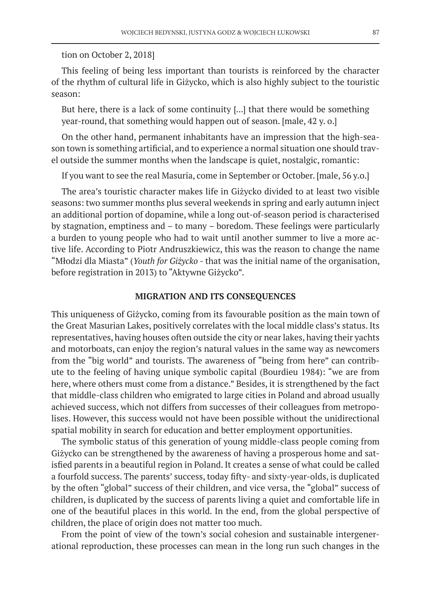#### tion on October 2, 2018]

This feeling of being less important than tourists is reinforced by the character of the rhythm of cultural life in Giżycko, which is also highly subject to the touristic season:

But here, there is a lack of some continuity [...] that there would be something year-round, that something would happen out of season. [male, 42 y. o.]

On the other hand, permanent inhabitants have an impression that the high-season town is something artificial, and to experience a normal situation one should travel outside the summer months when the landscape is quiet, nostalgic, romantic:

If you want to see the real Masuria, come in September or October. [male, 56 y.o.]

The area's touristic character makes life in Giżycko divided to at least two visible seasons: two summer months plus several weekends in spring and early autumn inject an additional portion of dopamine, while a long out-of-season period is characterised by stagnation, emptiness and – to many – boredom. These feelings were particularly a burden to young people who had to wait until another summer to live a more active life. According to Piotr Andruszkiewicz, this was the reason to change the name "Młodzi dla Miasta" (*Youth for Giżycko* - that was the initial name of the organisation, before registration in 2013) to "Aktywne Giżycko".

#### **MIGRATION AND ITS CONSEQUENCES**

This uniqueness of Giżycko, coming from its favourable position as the main town of the Great Masurian Lakes, positively correlates with the local middle class's status. Its representatives, having houses often outside the city or near lakes, having their yachts and motorboats, can enjoy the region's natural values in the same way as newcomers from the "big world" and tourists. The awareness of "being from here" can contribute to the feeling of having unique symbolic capital (Bourdieu 1984): "we are from here, where others must come from a distance." Besides, it is strengthened by the fact that middle-class children who emigrated to large cities in Poland and abroad usually achieved success, which not differs from successes of their colleagues from metropolises. However, this success would not have been possible without the unidirectional spatial mobility in search for education and better employment opportunities.

The symbolic status of this generation of young middle-class people coming from Giżycko can be strengthened by the awareness of having a prosperous home and satisfied parents in a beautiful region in Poland. It creates a sense of what could be called a fourfold success. The parents' success, today fifty- and sixty-year-olds, is duplicated by the often "global" success of their children, and vice versa, the "global" success of children, is duplicated by the success of parents living a quiet and comfortable life in one of the beautiful places in this world. In the end, from the global perspective of children, the place of origin does not matter too much.

From the point of view of the town's social cohesion and sustainable intergenerational reproduction, these processes can mean in the long run such changes in the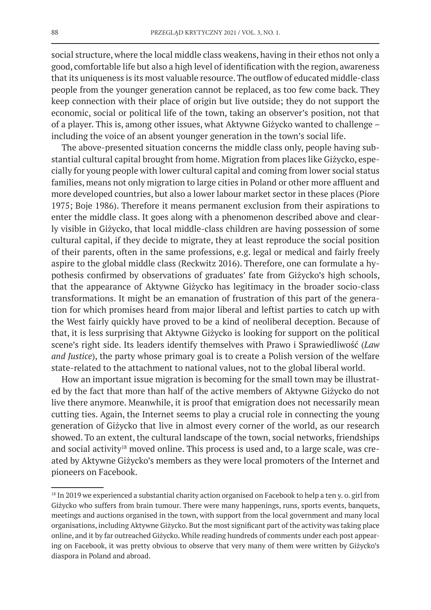social structure, where the local middle class weakens, having in their ethos not only a good, comfortable life but also a high level of identification with the region, awareness that its uniqueness is its most valuable resource. The outflow of educated middle-class people from the younger generation cannot be replaced, as too few come back. They keep connection with their place of origin but live outside; they do not support the economic, social or political life of the town, taking an observer's position, not that of a player. This is, among other issues, what Aktywne Giżycko wanted to challenge – including the voice of an absent younger generation in the town's social life.

The above-presented situation concerns the middle class only, people having substantial cultural capital brought from home. Migration from places like Giżycko, especially for young people with lower cultural capital and coming from lower social status families, means not only migration to large cities in Poland or other more affluent and more developed countries, but also a lower labour market sector in these places (Piore 1975; Boje 1986). Therefore it means permanent exclusion from their aspirations to enter the middle class. It goes along with a phenomenon described above and clearly visible in Giżycko, that local middle-class children are having possession of some cultural capital, if they decide to migrate, they at least reproduce the social position of their parents, often in the same professions, e.g. legal or medical and fairly freely aspire to the global middle class (Reckwitz 2016). Therefore, one can formulate a hypothesis confirmed by observations of graduates' fate from Giżycko's high schools, that the appearance of Aktywne Giżycko has legitimacy in the broader socio-class transformations. It might be an emanation of frustration of this part of the generation for which promises heard from major liberal and leftist parties to catch up with the West fairly quickly have proved to be a kind of neoliberal deception. Because of that, it is less surprising that Aktywne Giżycko is looking for support on the political scene's right side. Its leaders identify themselves with Prawo i Sprawiedliwość (*Law and Justice*), the party whose primary goal is to create a Polish version of the welfare state-related to the attachment to national values, not to the global liberal world.

How an important issue migration is becoming for the small town may be illustrated by the fact that more than half of the active members of Aktywne Giżycko do not live there anymore. Meanwhile, it is proof that emigration does not necessarily mean cutting ties. Again, the Internet seems to play a crucial role in connecting the young generation of Giżycko that live in almost every corner of the world, as our research showed. To an extent, the cultural landscape of the town, social networks, friendships and social activity<sup>18</sup> moved online. This process is used and, to a large scale, was created by Aktywne Giżycko's members as they were local promoters of the Internet and pioneers on Facebook.

<sup>&</sup>lt;sup>18</sup> In 2019 we experienced a substantial charity action organised on Facebook to help a ten y. o. girl from Giżycko who suffers from brain tumour. There were many happenings, runs, sports events, banquets, meetings and auctions organised in the town, with support from the local government and many local organisations, including Aktywne Giżycko. But the most significant part of the activity was taking place online, and it by far outreached Giżycko. While reading hundreds of comments under each post appearing on Facebook, it was pretty obvious to observe that very many of them were written by Giżycko's diaspora in Poland and abroad.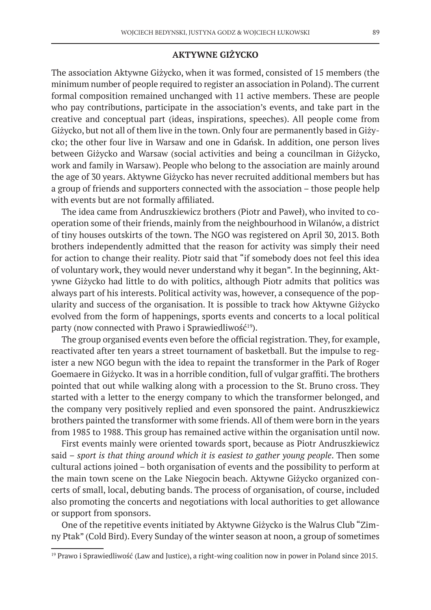## **AKTYWNE GIŻYCKO**

The association Aktywne Giżycko, when it was formed, consisted of 15 members (the minimum number of people required to register an association in Poland). The current formal composition remained unchanged with 11 active members. These are people who pay contributions, participate in the association's events, and take part in the creative and conceptual part (ideas, inspirations, speeches). All people come from Giżycko, but not all of them live in the town. Only four are permanently based in Giżycko; the other four live in Warsaw and one in Gdańsk. In addition, one person lives between Giżycko and Warsaw (social activities and being a councilman in Giżycko, work and family in Warsaw). People who belong to the association are mainly around the age of 30 years. Aktywne Giżycko has never recruited additional members but has a group of friends and supporters connected with the association – those people help with events but are not formally affiliated.

The idea came from Andruszkiewicz brothers (Piotr and Paweł), who invited to cooperation some of their friends, mainly from the neighbourhood in Wilanów, a district of tiny houses outskirts of the town. The NGO was registered on April 30, 2013. Both brothers independently admitted that the reason for activity was simply their need for action to change their reality. Piotr said that "if somebody does not feel this idea of voluntary work, they would never understand why it began". In the beginning, Aktywne Giżycko had little to do with politics, although Piotr admits that politics was always part of his interests. Political activity was, however, a consequence of the popularity and success of the organisation. It is possible to track how Aktywne Giżycko evolved from the form of happenings, sports events and concerts to a local political party (now connected with Prawo i Sprawiedliwość<sup>19</sup>).

The group organised events even before the official registration. They, for example, reactivated after ten years a street tournament of basketball. But the impulse to register a new NGO begun with the idea to repaint the transformer in the Park of Roger Goemaere in Giżycko. It was in a horrible condition, full of vulgar graffiti. The brothers pointed that out while walking along with a procession to the St. Bruno cross. They started with a letter to the energy company to which the transformer belonged, and the company very positively replied and even sponsored the paint. Andruszkiewicz brothers painted the transformer with some friends. All of them were born in the years from 1985 to 1988. This group has remained active within the organisation until now.

First events mainly were oriented towards sport, because as Piotr Andruszkiewicz said – *sport is that thing around which it is easiest to gather young people*. Then some cultural actions joined – both organisation of events and the possibility to perform at the main town scene on the Lake Niegocin beach. Aktywne Giżycko organized concerts of small, local, debuting bands. The process of organisation, of course, included also promoting the concerts and negotiations with local authorities to get allowance or support from sponsors.

One of the repetitive events initiated by Aktywne Giżycko is the Walrus Club "Zimny Ptak" (Cold Bird). Every Sunday of the winter season at noon, a group of sometimes

<sup>&</sup>lt;sup>19</sup> Prawo i Sprawiedliwość (Law and Justice), a right-wing coalition now in power in Poland since 2015.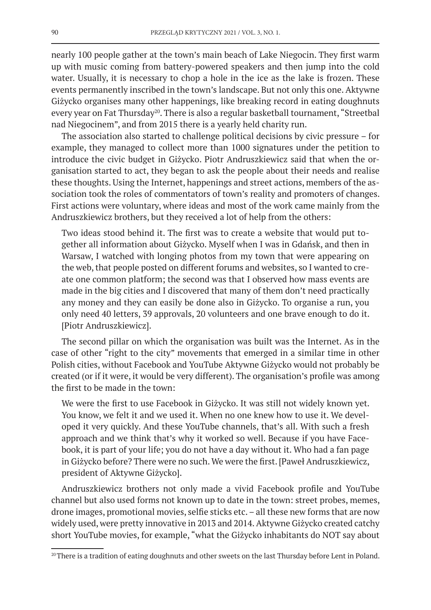nearly 100 people gather at the town's main beach of Lake Niegocin. They first warm up with music coming from battery-powered speakers and then jump into the cold water. Usually, it is necessary to chop a hole in the ice as the lake is frozen. These events permanently inscribed in the town's landscape. But not only this one. Aktywne Giżycko organises many other happenings, like breaking record in eating doughnuts every year on Fat Thursday<sup>20</sup>. There is also a regular basketball tournament, "Streetbal nad Niegocinem", and from 2015 there is a yearly held charity run.

The association also started to challenge political decisions by civic pressure – for example, they managed to collect more than 1000 signatures under the petition to introduce the civic budget in Giżycko. Piotr Andruszkiewicz said that when the organisation started to act, they began to ask the people about their needs and realise these thoughts. Using the Internet, happenings and street actions, members of the association took the roles of commentators of town's reality and promoters of changes. First actions were voluntary, where ideas and most of the work came mainly from the Andruszkiewicz brothers, but they received a lot of help from the others:

Two ideas stood behind it. The first was to create a website that would put together all information about Giżycko. Myself when I was in Gdańsk, and then in Warsaw, I watched with longing photos from my town that were appearing on the web, that people posted on different forums and websites, so I wanted to create one common platform; the second was that I observed how mass events are made in the big cities and I discovered that many of them don't need practically any money and they can easily be done also in Giżycko. To organise a run, you only need 40 letters, 39 approvals, 20 volunteers and one brave enough to do it. [Piotr Andruszkiewicz].

The second pillar on which the organisation was built was the Internet. As in the case of other "right to the city" movements that emerged in a similar time in other Polish cities, without Facebook and YouTube Aktywne Giżycko would not probably be created (or if it were, it would be very different). The organisation's profile was among the first to be made in the town:

We were the first to use Facebook in Giżycko. It was still not widely known yet. You know, we felt it and we used it. When no one knew how to use it. We developed it very quickly. And these YouTube channels, that's all. With such a fresh approach and we think that's why it worked so well. Because if you have Facebook, it is part of your life; you do not have a day without it. Who had a fan page in Giżycko before? There were no such. We were the first. [Paweł Andruszkiewicz, president of Aktywne Giżycko].

Andruszkiewicz brothers not only made a vivid Facebook profile and YouTube channel but also used forms not known up to date in the town: street probes, memes, drone images, promotional movies, selfie sticks etc. – all these new forms that are now widely used, were pretty innovative in 2013 and 2014. Aktywne Giżycko created catchy short YouTube movies, for example, "what the Giżycko inhabitants do NOT say about

<sup>&</sup>lt;sup>20</sup> There is a tradition of eating doughnuts and other sweets on the last Thursday before Lent in Poland.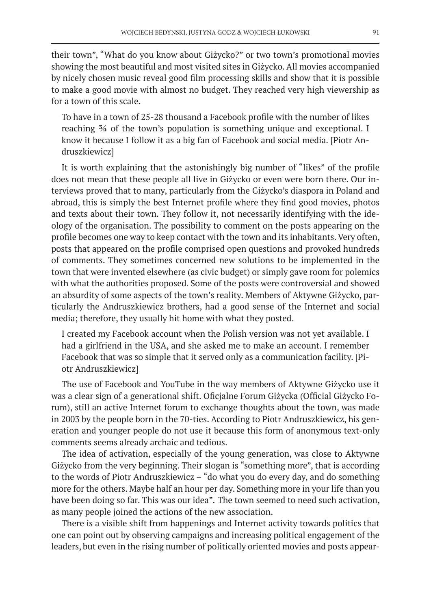their town", "What do you know about Giżycko?" or two town's promotional movies showing the most beautiful and most visited sites in Giżycko. All movies accompanied by nicely chosen music reveal good film processing skills and show that it is possible to make a good movie with almost no budget. They reached very high viewership as for a town of this scale.

To have in a town of 25-28 thousand a Facebook profile with the number of likes reaching ¾ of the town's population is something unique and exceptional. I know it because I follow it as a big fan of Facebook and social media. [Piotr Andruszkiewicz]

It is worth explaining that the astonishingly big number of "likes" of the profile does not mean that these people all live in Giżycko or even were born there. Our interviews proved that to many, particularly from the Giżycko's diaspora in Poland and abroad, this is simply the best Internet profile where they find good movies, photos and texts about their town. They follow it, not necessarily identifying with the ideology of the organisation. The possibility to comment on the posts appearing on the profile becomes one way to keep contact with the town and its inhabitants. Very often, posts that appeared on the profile comprised open questions and provoked hundreds of comments. They sometimes concerned new solutions to be implemented in the town that were invented elsewhere (as civic budget) or simply gave room for polemics with what the authorities proposed. Some of the posts were controversial and showed an absurdity of some aspects of the town's reality. Members of Aktywne Giżycko, particularly the Andruszkiewicz brothers, had a good sense of the Internet and social media; therefore, they usually hit home with what they posted.

I created my Facebook account when the Polish version was not yet available. I had a girlfriend in the USA, and she asked me to make an account. I remember Facebook that was so simple that it served only as a communication facility. [Piotr Andruszkiewicz]

The use of Facebook and YouTube in the way members of Aktywne Giżycko use it was a clear sign of a generational shift. Oficjalne Forum Giżycka (Official Giżycko Forum), still an active Internet forum to exchange thoughts about the town, was made in 2003 by the people born in the 70-ties. According to Piotr Andruszkiewicz, his generation and younger people do not use it because this form of anonymous text-only comments seems already archaic and tedious.

The idea of activation, especially of the young generation, was close to Aktywne Giżycko from the very beginning. Their slogan is "something more", that is according to the words of Piotr Andruszkiewicz – "do what you do every day, and do something more for the others. Maybe half an hour per day. Something more in your life than you have been doing so far. This was our idea"*.* The town seemed to need such activation, as many people joined the actions of the new association.

There is a visible shift from happenings and Internet activity towards politics that one can point out by observing campaigns and increasing political engagement of the leaders, but even in the rising number of politically oriented movies and posts appear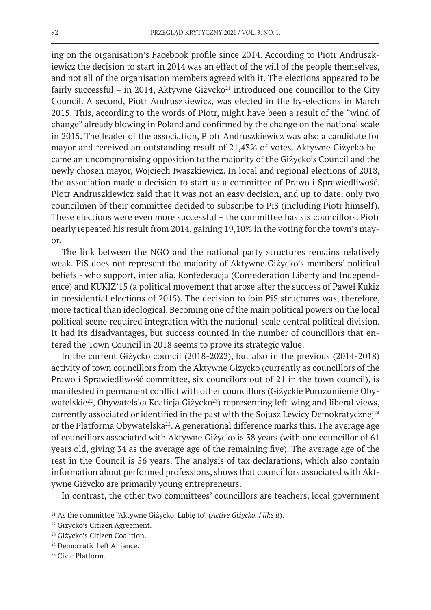ing on the organisation's Facebook profile since 2014. According to Piotr Andruszkiewicz the decision to start in 2014 was an effect of the will of the people themselves, and not all of the organisation members agreed with it. The elections appeared to be fairly successful – in 2014, Aktywne Giżycko<sup>21</sup> introduced one councillor to the City Council. A second, Piotr Andruszkiewicz, was elected in the by-elections in March 2015. This, according to the words of Piotr, might have been a result of the "wind of change" already blowing in Poland and confirmed by the change on the national scale in 2015. The leader of the association, Piotr Andruszkiewicz was also a candidate for mayor and received an outstanding result of 21,43% of votes. Aktywne Giżycko became an uncompromising opposition to the majority of the Giżycko's Council and the newly chosen mayor, Wojciech Iwaszkiewicz. In local and regional elections of 2018, the association made a decision to start as a committee of Prawo i Sprawiedliwość. Piotr Andruszkiewicz said that it was not an easy decision, and up to date, only two councilmen of their committee decided to subscribe to PiS (including Piotr himself). These elections were even more successful – the committee has six councillors. Piotr nearly repeated his result from 2014, gaining 19,10% in the voting for the town's mayor.

The link between the NGO and the national party structures remains relatively weak. PiS does not represent the majority of Aktywne Giżycko's members' political beliefs - who support, inter alia, Konfederacja (Confederation Liberty and Independence) and KUKIZ'15 (a political movement that arose after the success of Paweł Kukiz in presidential elections of 2015). The decision to join PiS structures was, therefore, more tactical than ideological. Becoming one of the main political powers on the local political scene required integration with the national-scale central political division. It had its disadvantages, but success counted in the number of councillors that entered the Town Council in 2018 seems to prove its strategic value.

In the current Giżycko council (2018-2022), but also in the previous (2014-2018) activity of town councillors from the Aktywne Giżycko (currently as councillors of the Prawo i Sprawiedliwość committee, six councilors out of 21 in the town council), is manifested in permanent conflict with other councillors (Giżyckie Porozumienie Obywatelskie<sup>22</sup>, Obywatelska Koalicja Giżycko<sup>23</sup>) representing left-wing and liberal views, currently associated or identified in the past with the Sojusz Lewicy Demokratycznej $^{24}$ or the Platforma Obywatelska<sup>25</sup>. A generational difference marks this. The average age of councillors associated with Aktywne Giżycko is 38 years (with one councillor of 61 years old, giving 34 as the average age of the remaining five). The average age of the rest in the Council is 56 years. The analysis of tax declarations, which also contain information about performed professions, shows that councillors associated with Aktywne Giżycko are primarily young entrepreneurs.

In contrast, the other two committees' councillors are teachers, local government

<sup>21</sup> As the committee "Aktywne Giżycko. Lubię to" (*Active Giżycko. I like it*).

<sup>22</sup> Giżycko's Citizen Agreement.

<sup>&</sup>lt;sup>23</sup> Giżycko's Citizen Coalition.

<sup>&</sup>lt;sup>24</sup> Democratic Left Alliance.

<sup>25</sup> Civic Platform.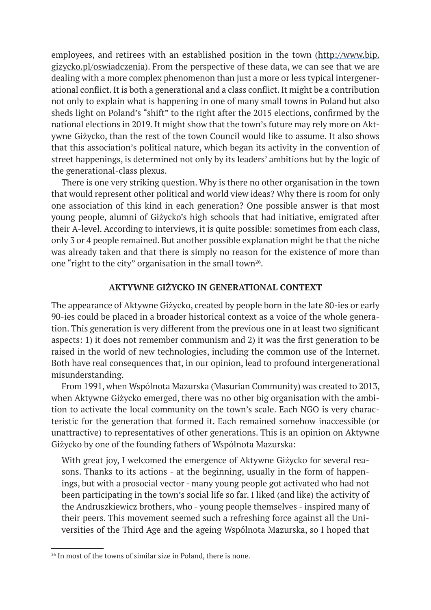employees, and retirees with an established position in the town (http://www.bip. gizycko.pl/oswiadczenia). From the perspective of these data, we can see that we are dealing with a more complex phenomenon than just a more or less typical intergenerational conflict. It is both a generational and a class conflict. It might be a contribution not only to explain what is happening in one of many small towns in Poland but also sheds light on Poland's "shift" to the right after the 2015 elections, confirmed by the national elections in 2019. It might show that the town's future may rely more on Aktywne Giżycko, than the rest of the town Council would like to assume. It also shows that this association's political nature, which began its activity in the convention of street happenings, is determined not only by its leaders' ambitions but by the logic of the generational-class plexus.

There is one very striking question. Why is there no other organisation in the town that would represent other political and world view ideas? Why there is room for only one association of this kind in each generation? One possible answer is that most young people, alumni of Giżycko's high schools that had initiative, emigrated after their A-level. According to interviews, it is quite possible: sometimes from each class, only 3 or 4 people remained. But another possible explanation might be that the niche was already taken and that there is simply no reason for the existence of more than one "right to the city" organisation in the small town<sup>26</sup>.

## **AKTYWNE GIŻYCKO IN GENERATIONAL CONTEXT**

The appearance of Aktywne Giżycko, created by people born in the late 80-ies or early 90-ies could be placed in a broader historical context as a voice of the whole generation. This generation is very different from the previous one in at least two significant aspects: 1) it does not remember communism and 2) it was the first generation to be raised in the world of new technologies, including the common use of the Internet. Both have real consequences that, in our opinion, lead to profound intergenerational misunderstanding.

From 1991, when Wspólnota Mazurska (Masurian Community) was created to 2013, when Aktywne Giżycko emerged, there was no other big organisation with the ambition to activate the local community on the town's scale. Each NGO is very characteristic for the generation that formed it. Each remained somehow inaccessible (or unattractive) to representatives of other generations. This is an opinion on Aktywne Giżycko by one of the founding fathers of Wspólnota Mazurska:

With great joy, I welcomed the emergence of Aktywne Giżycko for several reasons. Thanks to its actions - at the beginning, usually in the form of happenings, but with a prosocial vector - many young people got activated who had not been participating in the town's social life so far. I liked (and like) the activity of the Andruszkiewicz brothers, who - young people themselves - inspired many of their peers. This movement seemed such a refreshing force against all the Universities of the Third Age and the ageing Wspólnota Mazurska, so I hoped that

<sup>&</sup>lt;sup>26</sup> In most of the towns of similar size in Poland, there is none.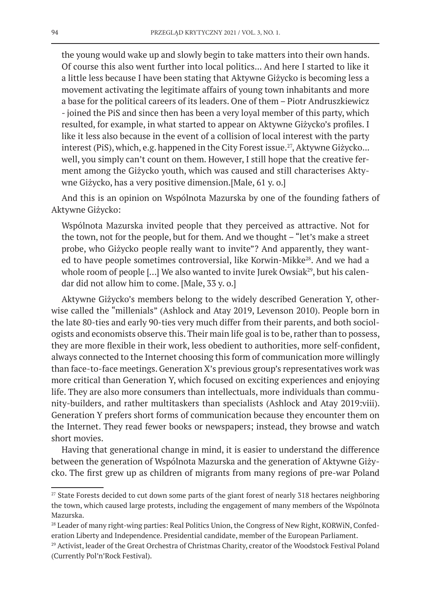the young would wake up and slowly begin to take matters into their own hands. Of course this also went further into local politics... And here I started to like it a little less because I have been stating that Aktywne Giżycko is becoming less a movement activating the legitimate affairs of young town inhabitants and more a base for the political careers of its leaders. One of them – Piotr Andruszkiewicz - joined the PiS and since then has been a very loyal member of this party, which resulted, for example, in what started to appear on Aktywne Giżycko's profiles. I like it less also because in the event of a collision of local interest with the party interest (PiS), which, e.g. happened in the City Forest issue.<sup>27</sup>, Aktywne Giżycko... well, you simply can't count on them. However, I still hope that the creative ferment among the Giżycko youth, which was caused and still characterises Aktywne Giżycko, has a very positive dimension.[Male, 61 y. o.]

And this is an opinion on Wspólnota Mazurska by one of the founding fathers of Aktywne Giżycko:

Wspólnota Mazurska invited people that they perceived as attractive. Not for the town, not for the people, but for them. And we thought – "let's make a street probe, who Giżycko people really want to invite"? And apparently, they wanted to have people sometimes controversial, like Korwin-Mikke<sup>28</sup>. And we had a whole room of people [...] We also wanted to invite Jurek Owsiak<sup>29</sup>, but his calendar did not allow him to come. [Male, 33 y. o.]

Aktywne Giżycko's members belong to the widely described Generation Y, otherwise called the "millenials" (Ashlock and Atay 2019, Levenson 2010). People born in the late 80-ties and early 90-ties very much differ from their parents, and both sociologists and economists observe this. Their main life goal is to be, rather than to possess, they are more flexible in their work, less obedient to authorities, more self-confident, always connected to the Internet choosing this form of communication more willingly than face-to-face meetings. Generation X's previous group's representatives work was more critical than Generation Y, which focused on exciting experiences and enjoying life. They are also more consumers than intellectuals, more individuals than community-builders, and rather multitaskers than specialists (Ashlock and Atay 2019:viii). Generation Y prefers short forms of communication because they encounter them on the Internet. They read fewer books or newspapers; instead, they browse and watch short movies.

Having that generational change in mind, it is easier to understand the difference between the generation of Wspólnota Mazurska and the generation of Aktywne Giżycko. The first grew up as children of migrants from many regions of pre-war Poland

<sup>&</sup>lt;sup>27</sup> State Forests decided to cut down some parts of the giant forest of nearly 318 hectares neighboring the town, which caused large protests, including the engagement of many members of the Wspólnota Mazurska.

<sup>&</sup>lt;sup>28</sup> Leader of many right-wing parties: Real Politics Union, the Congress of New Right, KORWiN, Confederation Liberty and Independence. Presidential candidate, member of the European Parliament.

<sup>&</sup>lt;sup>29</sup> Activist, leader of the Great Orchestra of Christmas Charity, creator of the Woodstock Festival Poland (Currently Pol'n'Rock Festival).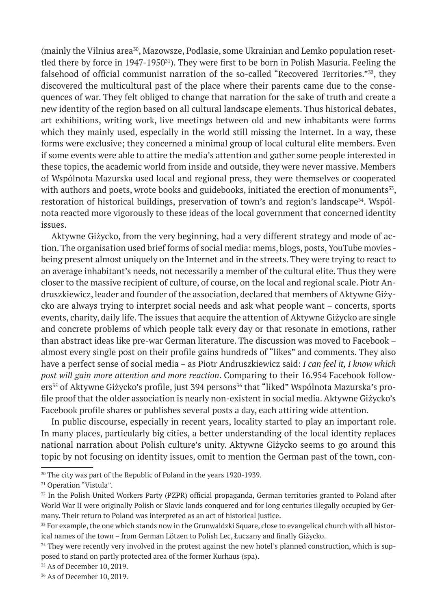(mainly the Vilnius area<sup>30</sup>, Mazowsze, Podlasie, some Ukrainian and Lemko population resettled there by force in 1947-1950<sup>31</sup>). They were first to be born in Polish Masuria. Feeling the falsehood of official communist narration of the so-called "Recovered Territories."<sup>32</sup>, they discovered the multicultural past of the place where their parents came due to the consequences of war. They felt obliged to change that narration for the sake of truth and create a new identity of the region based on all cultural landscape elements. Thus historical debates, art exhibitions, writing work, live meetings between old and new inhabitants were forms which they mainly used, especially in the world still missing the Internet. In a way, these forms were exclusive; they concerned a minimal group of local cultural elite members. Even if some events were able to attire the media's attention and gather some people interested in these topics, the academic world from inside and outside, they were never massive. Members of Wspólnota Mazurska used local and regional press, they were themselves or cooperated with authors and poets, wrote books and guidebooks, initiated the erection of monuments $33$ , restoration of historical buildings, preservation of town's and region's landscape<sup>34</sup>. Wspólnota reacted more vigorously to these ideas of the local government that concerned identity issues.

Aktywne Giżycko, from the very beginning, had a very different strategy and mode of action. The organisation used brief forms of social media: mems, blogs, posts, YouTube movies being present almost uniquely on the Internet and in the streets. They were trying to react to an average inhabitant's needs, not necessarily a member of the cultural elite. Thus they were closer to the massive recipient of culture, of course, on the local and regional scale. Piotr Andruszkiewicz, leader and founder of the association, declared that members of Aktywne Giżycko are always trying to interpret social needs and ask what people want – concerts, sports events, charity, daily life. The issues that acquire the attention of Aktywne Giżycko are single and concrete problems of which people talk every day or that resonate in emotions, rather than abstract ideas like pre-war German literature. The discussion was moved to Facebook – almost every single post on their profile gains hundreds of "likes" and comments. They also have a perfect sense of social media – as Piotr Andruszkiewicz said: *I can feel it, I know which post will gain more attention and more reaction*. Comparing to their 16.954 Facebook followers<sup>35</sup> of Aktywne Giżycko's profile, just 394 persons<sup>36</sup> that "liked" Wspólnota Mazurska's profile proof that the older association is nearly non-existent in social media. Aktywne Giżycko's Facebook profile shares or publishes several posts a day, each attiring wide attention.

In public discourse, especially in recent years, locality started to play an important role. In many places, particularly big cities, a better understanding of the local identity replaces national narration about Polish culture's unity. Aktywne Giżycko seems to go around this topic by not focusing on identity issues, omit to mention the German past of the town, con-

35 As of December 10, 2019.

<sup>30</sup> The city was part of the Republic of Poland in the years 1920-1939.

<sup>&</sup>lt;sup>31</sup> Operation "Vistula".

<sup>32</sup> In the Polish United Workers Party (PZPR) official propaganda, German territories granted to Poland after World War II were originally Polish or Slavic lands conquered and for long centuries illegally occupied by Germany. Their return to Poland was interpreted as an act of historical justice.

<sup>&</sup>lt;sup>33</sup> For example, the one which stands now in the Grunwaldzki Square, close to evangelical church with all historical names of the town – from German Lötzen to Polish Lec, Łuczany and finally Giżycko.

<sup>&</sup>lt;sup>34</sup> They were recently very involved in the protest against the new hotel's planned construction, which is supposed to stand on partly protected area of the former Kurhaus (spa).

<sup>36</sup> As of December 10, 2019.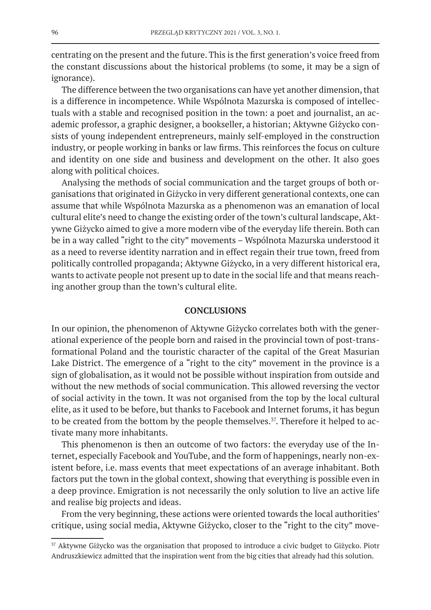centrating on the present and the future. This is the first generation's voice freed from the constant discussions about the historical problems (to some, it may be a sign of ignorance).

The difference between the two organisations can have yet another dimension, that is a difference in incompetence. While Wspólnota Mazurska is composed of intellectuals with a stable and recognised position in the town: a poet and journalist, an academic professor, a graphic designer, a bookseller, a historian; Aktywne Giżycko consists of young independent entrepreneurs, mainly self-employed in the construction industry, or people working in banks or law firms. This reinforces the focus on culture and identity on one side and business and development on the other. It also goes along with political choices.

Analysing the methods of social communication and the target groups of both organisations that originated in Giżycko in very different generational contexts, one can assume that while Wspólnota Mazurska as a phenomenon was an emanation of local cultural elite's need to change the existing order of the town's cultural landscape, Aktywne Giżycko aimed to give a more modern vibe of the everyday life therein. Both can be in a way called "right to the city" movements – Wspólnota Mazurska understood it as a need to reverse identity narration and in effect regain their true town, freed from politically controlled propaganda; Aktywne Giżycko, in a very different historical era, wants to activate people not present up to date in the social life and that means reaching another group than the town's cultural elite.

#### **CONCLUSIONS**

In our opinion, the phenomenon of Aktywne Giżycko correlates both with the generational experience of the people born and raised in the provincial town of post-transformational Poland and the touristic character of the capital of the Great Masurian Lake District. The emergence of a "right to the city" movement in the province is a sign of globalisation, as it would not be possible without inspiration from outside and without the new methods of social communication. This allowed reversing the vector of social activity in the town. It was not organised from the top by the local cultural elite, as it used to be before, but thanks to Facebook and Internet forums, it has begun to be created from the bottom by the people themselves.<sup>37</sup>. Therefore it helped to activate many more inhabitants.

This phenomenon is then an outcome of two factors: the everyday use of the Internet, especially Facebook and YouTube, and the form of happenings, nearly non-existent before, i.e. mass events that meet expectations of an average inhabitant. Both factors put the town in the global context, showing that everything is possible even in a deep province. Emigration is not necessarily the only solution to live an active life and realise big projects and ideas.

From the very beginning, these actions were oriented towards the local authorities' critique, using social media, Aktywne Giżycko, closer to the "right to the city" move-

<sup>37</sup> Aktywne Giżycko was the organisation that proposed to introduce a civic budget to Giżycko. Piotr Andruszkiewicz admitted that the inspiration went from the big cities that already had this solution.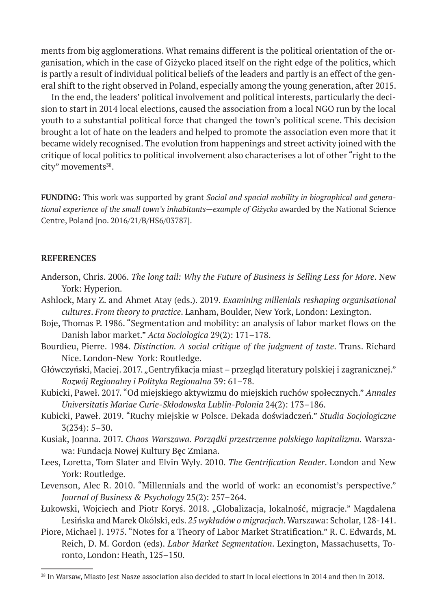ments from big agglomerations. What remains different is the political orientation of the organisation, which in the case of Giżycko placed itself on the right edge of the politics, which is partly a result of individual political beliefs of the leaders and partly is an effect of the general shift to the right observed in Poland, especially among the young generation, after 2015.

In the end, the leaders' political involvement and political interests, particularly the decision to start in 2014 local elections, caused the association from a local NGO run by the local youth to a substantial political force that changed the town's political scene. This decision brought a lot of hate on the leaders and helped to promote the association even more that it became widely recognised. The evolution from happenings and street activity joined with the critique of local politics to political involvement also characterises a lot of other "right to the city" movements<sup>38</sup>.

**FUNDING:** This work was supported by grant *Social and spacial mobility in biographical and generational experience of the small town's inhabitants—example of Giżycko* awarded by the National Science Centre, Poland [no. 2016/21/B/HS6/03787].

## **REFERENCES**

- Anderson, Chris. 2006. *The long tail: Why the Future of Business is Selling Less for More*. New York: Hyperion.
- Ashlock, Mary Z. and Ahmet Atay (eds.). 2019. *Examining millenials reshaping organisational cultures*. *From theory to practice*. Lanham, Boulder, New York, London: Lexington.
- Boje, Thomas P. 1986. "Segmentation and mobility: an analysis of labor market flows on the Danish labor market." *Acta Sociologica* 29(2): 171–178.
- Bourdieu, Pierre. 1984. *Distinction. A social critique of the judgment of taste*. Trans. Richard Nice. London-New York: Routledge.
- Główczyński, Maciej. 2017. "Gentryfikacja miast przegląd literatury polskiej i zagranicznej." *Rozwój Regionalny i Polityka Regionalna* 39: 61–78.
- Kubicki, Paweł. 2017. "Od miejskiego aktywizmu do miejskich ruchów społecznych." *Annales Universitatis Mariae Curie-Skłodowska Lublin-Polonia* 24(2): 173–186.
- Kubicki, Paweł. 2019. "Ruchy miejskie w Polsce. Dekada doświadczeń." *Studia Socjologiczne* 3(234): 5–30.
- Kusiak, Joanna. 2017. *Chaos Warszawa. Porządki przestrzenne polskiego kapitalizmu.* Warszawa: Fundacja Nowej Kultury Bęc Zmiana.
- Lees, Loretta, Tom Slater and Elvin Wyly. 2010. *The Gentrification Reader*. London and New York: Routledge.
- Levenson, Alec R. 2010. "Millennials and the world of work: an economist's perspective." *Journal of Business & Psychology* 25(2): 257–264.
- Łukowski, Wojciech and Piotr Koryś. 2018. "Globalizacja, lokalność, migracje." Magdalena Lesińska and Marek Okólski, eds. *25 wykładów o migracjach*. Warszawa: Scholar, 128-141.
- Piore, Michael J. 1975. "Notes for a Theory of Labor Market Stratification." R. C. Edwards, M. Reich, D. M. Gordon (eds). *Labor Market Segmentation*. Lexington, Massachusetts, Toronto, London: Heath, 125–150.

<sup>38</sup> In Warsaw, Miasto Jest Nasze association also decided to start in local elections in 2014 and then in 2018.